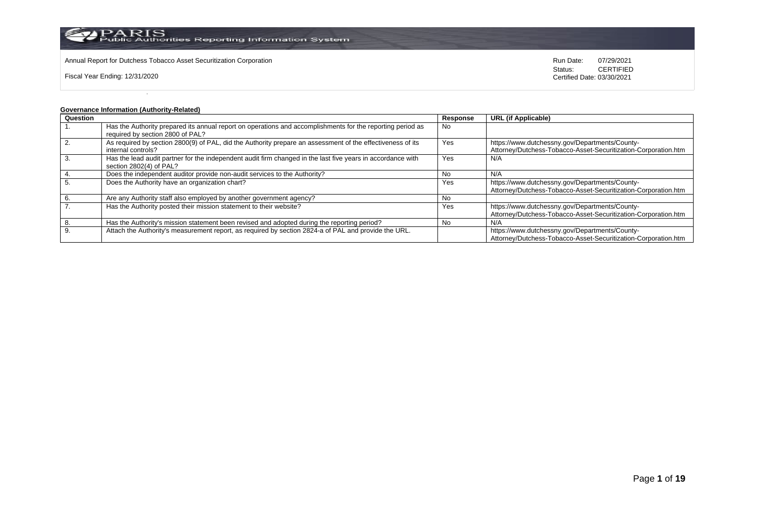

Fiscal Year Ending: 12/31/2020

Annual Report for Dutchess Tobacco Asset Securitization Corporation **Run Date:** 07/29/2021 Status: **CERTIFIED** Certified Date: 03/30/2021

## **Governance Information (Authority-Related)**

| Question |                                                                                                                                                | Response   | <b>URL (if Applicable)</b>                                                                                       |
|----------|------------------------------------------------------------------------------------------------------------------------------------------------|------------|------------------------------------------------------------------------------------------------------------------|
|          | Has the Authority prepared its annual report on operations and accomplishments for the reporting period as<br>required by section 2800 of PAL? | No         |                                                                                                                  |
|          | As required by section 2800(9) of PAL, did the Authority prepare an assessment of the effectiveness of its<br>internal controls?               | <b>Yes</b> | https://www.dutchessny.gov/Departments/County-<br>Attorney/Dutchess-Tobacco-Asset-Securitization-Corporation.htm |
|          | Has the lead audit partner for the independent audit firm changed in the last five years in accordance with<br>section 2802(4) of PAL?         | Yes        | N/A                                                                                                              |
|          | Does the independent auditor provide non-audit services to the Authority?                                                                      | No         | N/A                                                                                                              |
|          | Does the Authority have an organization chart?                                                                                                 | <b>Yes</b> | https://www.dutchessny.gov/Departments/County-<br>Attorney/Dutchess-Tobacco-Asset-Securitization-Corporation.htm |
|          | Are any Authority staff also employed by another government agency?                                                                            | No         |                                                                                                                  |
|          | Has the Authority posted their mission statement to their website?                                                                             | Yes        | https://www.dutchessny.gov/Departments/County-<br>Attorney/Dutchess-Tobacco-Asset-Securitization-Corporation.htm |
|          | Has the Authority's mission statement been revised and adopted during the reporting period?                                                    | No         | N/A                                                                                                              |
|          | Attach the Authority's measurement report, as required by section 2824-a of PAL and provide the URL.                                           |            | https://www.dutchessny.gov/Departments/County-<br>Attorney/Dutchess-Tobacco-Asset-Securitization-Corporation.htm |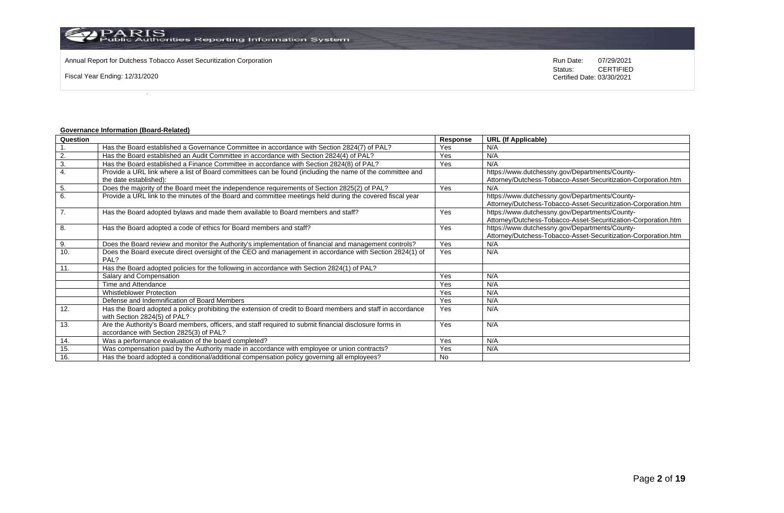Annual Report for Dutchess Tobacco Asset Securitization Corporation **Component Component Control** Run Date: 07/29/2021

Fiscal Year Ending: 12/31/2020

Status: **CERTIFIED** Certified Date: 03/30/2021

## **Governance Information (Board-Related)**

| Question |                                                                                                             | Response  | <b>URL (If Applicable)</b>                                     |
|----------|-------------------------------------------------------------------------------------------------------------|-----------|----------------------------------------------------------------|
|          | Has the Board established a Governance Committee in accordance with Section 2824(7) of PAL?                 | Yes       | N/A                                                            |
| 2.       | Has the Board established an Audit Committee in accordance with Section 2824(4) of PAL?                     | Yes       | N/A                                                            |
| 3.       | Has the Board established a Finance Committee in accordance with Section 2824(8) of PAL?                    | Yes       | N/A                                                            |
| 4.       | Provide a URL link where a list of Board committees can be found (including the name of the committee and   |           | https://www.dutchessny.gov/Departments/County-                 |
|          | the date established):                                                                                      |           | Attorney/Dutchess-Tobacco-Asset-Securitization-Corporation.htm |
| 5.       | Does the majority of the Board meet the independence requirements of Section 2825(2) of PAL?                | Yes       | N/A                                                            |
| 6.       | Provide a URL link to the minutes of the Board and committee meetings held during the covered fiscal year   |           | https://www.dutchessny.gov/Departments/County-                 |
|          |                                                                                                             |           | Attorney/Dutchess-Tobacco-Asset-Securitization-Corporation.htm |
| 7.       | Has the Board adopted bylaws and made them available to Board members and staff?                            | Yes       | https://www.dutchessny.gov/Departments/County-                 |
|          |                                                                                                             |           | Attorney/Dutchess-Tobacco-Asset-Securitization-Corporation.htm |
| 8.       | Has the Board adopted a code of ethics for Board members and staff?                                         | Yes       | https://www.dutchessny.gov/Departments/County-                 |
|          |                                                                                                             |           | Attorney/Dutchess-Tobacco-Asset-Securitization-Corporation.htm |
| 9.       | Does the Board review and monitor the Authority's implementation of financial and management controls?      | Yes       | N/A                                                            |
| 10.      | Does the Board execute direct oversight of the CEO and management in accordance with Section 2824(1) of     | Yes       | N/A                                                            |
|          | PAL?                                                                                                        |           |                                                                |
| 11.      | Has the Board adopted policies for the following in accordance with Section 2824(1) of PAL?                 |           |                                                                |
|          | Salary and Compensation                                                                                     | Yes       | N/A                                                            |
|          | Time and Attendance                                                                                         | Yes       | N/A                                                            |
|          | <b>Whistleblower Protection</b>                                                                             | Yes       | N/A                                                            |
|          | Defense and Indemnification of Board Members                                                                | Yes       | N/A                                                            |
| 12.      | Has the Board adopted a policy prohibiting the extension of credit to Board members and staff in accordance | Yes       | N/A                                                            |
|          | with Section 2824(5) of PAL?                                                                                |           |                                                                |
| 13.      | Are the Authority's Board members, officers, and staff required to submit financial disclosure forms in     | Yes       | N/A                                                            |
|          | accordance with Section 2825(3) of PAL?                                                                     |           |                                                                |
| 14.      | Was a performance evaluation of the board completed?                                                        | Yes       | N/A                                                            |
| 15.      | Was compensation paid by the Authority made in accordance with employee or union contracts?                 | Yes       | N/A                                                            |
| 16.      | Has the board adopted a conditional/additional compensation policy governing all employees?                 | <b>No</b> |                                                                |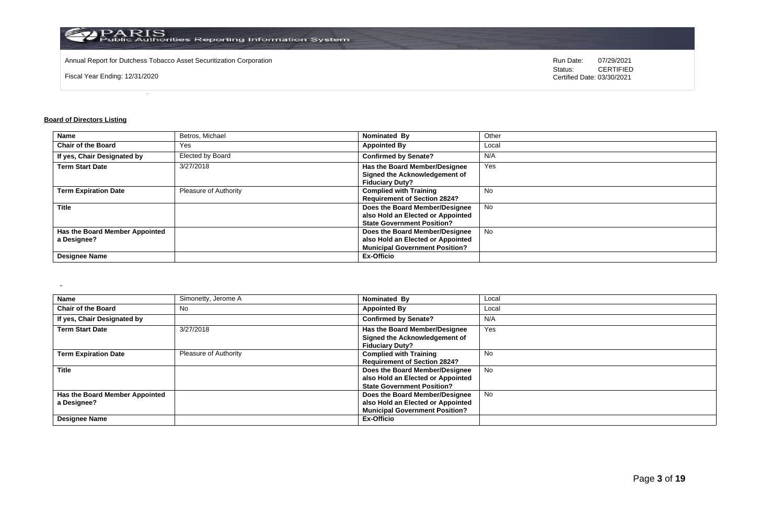

Annual Report for Dutchess Tobacco Asset Securitization Corporation **Components** Components Components Components Components Components Components Components Components Components Components Components Components Component

Fiscal Year Ending: 12/31/2020

Status: **CERTIFIED** Certified Date: 03/30/2021

### **Board of Directors Listing**

 $\sim$ 

| <b>Name</b>                    | Betros, Michael       | Nominated By                                            | Other     |
|--------------------------------|-----------------------|---------------------------------------------------------|-----------|
| <b>Chair of the Board</b>      | Yes                   | <b>Appointed By</b>                                     | Local     |
| If yes, Chair Designated by    | Elected by Board      | <b>Confirmed by Senate?</b>                             | N/A       |
| <b>Term Start Date</b>         | 3/27/2018             | Has the Board Member/Designee                           | Yes       |
|                                |                       | Signed the Acknowledgement of<br><b>Fiduciary Duty?</b> |           |
| <b>Term Expiration Date</b>    | Pleasure of Authority | <b>Complied with Training</b>                           | <b>No</b> |
|                                |                       | <b>Requirement of Section 2824?</b>                     |           |
| <b>Title</b>                   |                       | Does the Board Member/Designee                          | <b>No</b> |
|                                |                       | also Hold an Elected or Appointed                       |           |
|                                |                       | <b>State Government Position?</b>                       |           |
| Has the Board Member Appointed |                       | Does the Board Member/Designee                          | <b>No</b> |
| a Designee?                    |                       | also Hold an Elected or Appointed                       |           |
|                                |                       | <b>Municipal Government Position?</b>                   |           |
| <b>Designee Name</b>           |                       | <b>Ex-Officio</b>                                       |           |

| Name                           | Simonetty, Jerome A   | <b>Nominated By</b>                   | Local     |
|--------------------------------|-----------------------|---------------------------------------|-----------|
| <b>Chair of the Board</b>      | No                    | <b>Appointed By</b>                   | Local     |
| If yes, Chair Designated by    |                       | <b>Confirmed by Senate?</b>           | N/A       |
| <b>Term Start Date</b>         | 3/27/2018             | Has the Board Member/Designee         | Yes       |
|                                |                       | Signed the Acknowledgement of         |           |
|                                |                       | <b>Fiduciary Duty?</b>                |           |
| <b>Term Expiration Date</b>    | Pleasure of Authority | <b>Complied with Training</b>         | <b>No</b> |
|                                |                       | <b>Requirement of Section 2824?</b>   |           |
| <b>Title</b>                   |                       | Does the Board Member/Designee        | <b>No</b> |
|                                |                       | also Hold an Elected or Appointed     |           |
|                                |                       | <b>State Government Position?</b>     |           |
| Has the Board Member Appointed |                       | Does the Board Member/Designee        | No        |
| a Designee?                    |                       | also Hold an Elected or Appointed     |           |
|                                |                       | <b>Municipal Government Position?</b> |           |
| <b>Designee Name</b>           |                       | Ex-Officio                            |           |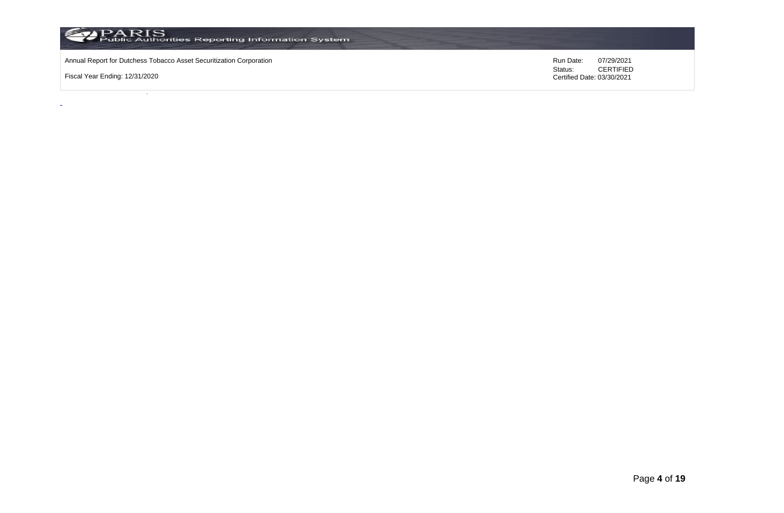

Annual Report for Dutchess Tobacco Asset Securitization Corporation **Components** Components Components Components Components Components Components Components Components Components Components Components Components Component

Fiscal Year Ending: 12/31/2020

 $\overline{a}$ 

Status: **CERTIFIED** Certified Date: 03/30/2021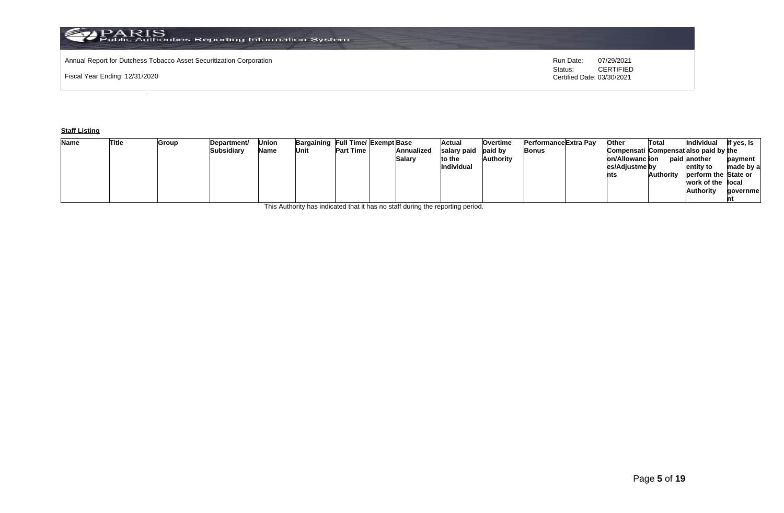| <b>EXPARIS</b><br>Public Authorities Reporting Information System   |                                                           |
|---------------------------------------------------------------------|-----------------------------------------------------------|
| Annual Report for Dutchess Tobacco Asset Securitization Corporation | Run Date:<br>07/29/2021                                   |
| Fiscal Year Ending: 12/31/2020                                      | <b>CERTIFIED</b><br>Status:<br>Certified Date: 03/30/2021 |
|                                                                     |                                                           |

## **Staff Listing**

| <b>Name</b> | Title | Group | Department/       | Union | Bargaining Full Time/ Exempt Base |                  |               | Actual            | <b>Overtime</b> | <b>PerformanceExtra Pav</b> | Other                                 | Total     | Individual           | lf ves. Is I |
|-------------|-------|-------|-------------------|-------|-----------------------------------|------------------|---------------|-------------------|-----------------|-----------------------------|---------------------------------------|-----------|----------------------|--------------|
|             |       |       | <b>Subsidiary</b> | Name  | Unit                              | <b>Part Time</b> | Annualized    | salary paid       | paid by         | Bonus                       | Compensati Compensatialso paid by the |           |                      |              |
|             |       |       |                   |       |                                   |                  | <b>Salary</b> | to the            | Authority       |                             | on/Allowanc ion                       |           | paid another         | payment      |
|             |       |       |                   |       |                                   |                  |               | <b>Individual</b> |                 |                             | es/Adjustme by                        |           | entity to            | made by a    |
|             |       |       |                   |       |                                   |                  |               |                   |                 |                             | nts                                   | Authority | perform the State or |              |
|             |       |       |                   |       |                                   |                  |               |                   |                 |                             |                                       |           | work of the llocal   |              |
|             |       |       |                   |       |                                   |                  |               |                   |                 |                             |                                       |           | <b>Authority</b>     | qovernmel    |
|             |       |       |                   |       |                                   |                  |               |                   |                 |                             |                                       |           |                      |              |

This Authority has indicated that it has no staff during the reporting period.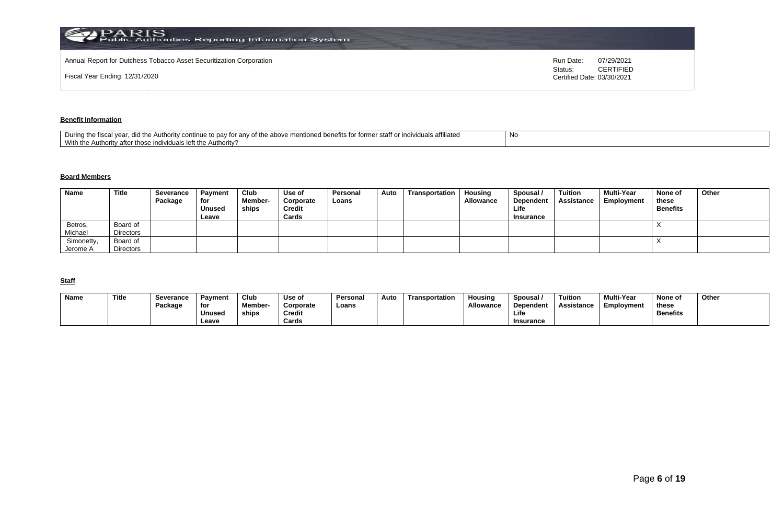| Run Date:<br>07/29/2021                            |
|----------------------------------------------------|
| CERTIFIED<br>Status:<br>Certified Date: 03/30/2021 |
|                                                    |

# **Benefit Information**

| -N Ic<br><sub>ີ</sub> e mentioned benefits for former staff or individuals affiliated<br>d the Authority continue to<br>e to pav for any of the above men<br>During the fiscal vear.<br>With the Authority after those individuals left the Authority? |  |
|--------------------------------------------------------------------------------------------------------------------------------------------------------------------------------------------------------------------------------------------------------|--|
|--------------------------------------------------------------------------------------------------------------------------------------------------------------------------------------------------------------------------------------------------------|--|

# **Board Members**

| Name       | <b>Title</b>     | Severance | <b>Payment</b> | Club    | Use of        | Personal | Auto | Transportation | <b>Housing</b> | Spousal / | Tuition    | <b>Multi-Year</b> | None of         | Other |
|------------|------------------|-----------|----------------|---------|---------------|----------|------|----------------|----------------|-----------|------------|-------------------|-----------------|-------|
|            |                  | Package   | for            | Member- | Corporate     | Loans    |      |                | Allowance      | Dependent | Assistance | Employment        | these           |       |
|            |                  |           | <b>Unused</b>  | ships   | <b>Credit</b> |          |      |                |                | Life      |            |                   | <b>Benefits</b> |       |
|            |                  |           | Leave          |         | Cards         |          |      |                |                | Insurance |            |                   |                 |       |
| Betros,    | Board of         |           |                |         |               |          |      |                |                |           |            |                   |                 |       |
| Michael    | <b>Directors</b> |           |                |         |               |          |      |                |                |           |            |                   |                 |       |
| Simonetty, | Board of         |           |                |         |               |          |      |                |                |           |            |                   |                 |       |
| Jerome A   | <b>Directors</b> |           |                |         |               |          |      |                |                |           |            |                   |                 |       |

# **Staff**

| Name | Title | <b>Severance</b> | Pavment       | Club    | Use of    | Personal | Auto | Transportation | Housing          | Spousal,         | Tuition    | <b>Multi-Year</b> | None of         | Other |
|------|-------|------------------|---------------|---------|-----------|----------|------|----------------|------------------|------------------|------------|-------------------|-----------------|-------|
|      |       | Packaɑe          | for           | Member- | Corporate | Loans    |      |                | <b>Allowance</b> | Dependent        | Assistance | Employment        | these           |       |
|      |       |                  | <b>Unused</b> | ships   | Credit    |          |      |                |                  | Life             |            |                   | <b>Benefits</b> |       |
|      |       |                  | Leave         |         | Cards     |          |      |                |                  | <b>Insurance</b> |            |                   |                 |       |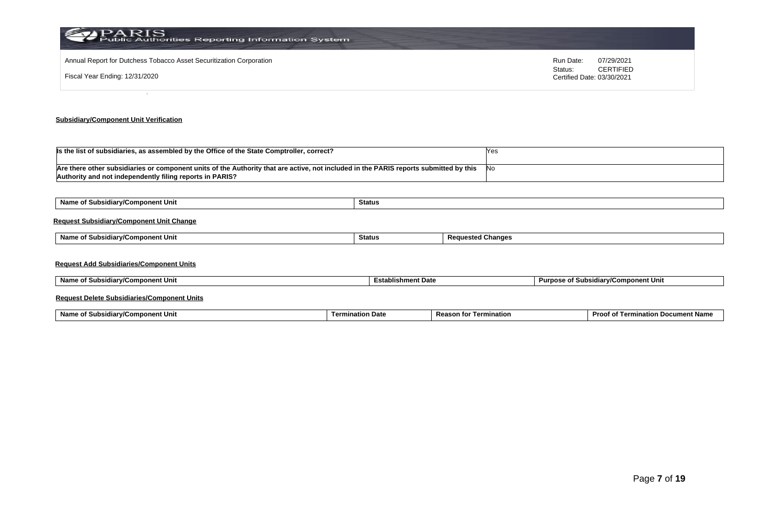| PARIS<br>Public Authorities Reporting Information System            |           |                                                |  |
|---------------------------------------------------------------------|-----------|------------------------------------------------|--|
| Annual Report for Dutchess Tobacco Asset Securitization Corporation | Run Date: | 07/29/2021                                     |  |
| Fiscal Year Ending: 12/31/2020                                      | Status:   | <b>CERTIFIED</b><br>Certified Date: 03/30/2021 |  |
|                                                                     |           |                                                |  |

## **Subsidiary/Component Unit Verification**

| Is the list of subsidiaries, as assembled by the Office of the State Comptroller, correct?                                            |      |
|---------------------------------------------------------------------------------------------------------------------------------------|------|
|                                                                                                                                       |      |
| Are there other subsidiaries or component units of the Authority that are active, not included in the PARIS reports submitted by this | -INo |
| Authority and not independently filing reports in PARIS?                                                                              |      |

| Name of Subsidiary/Component Unit               | Status                    |                          |                                             |
|-------------------------------------------------|---------------------------|--------------------------|---------------------------------------------|
| <b>Request Subsidiary/Component Unit Change</b> |                           |                          |                                             |
| Name of Subsidiary/Component Unit               | <b>Status</b>             | <b>Requested Changes</b> |                                             |
|                                                 |                           |                          |                                             |
| <b>Request Add Subsidiaries/Component Units</b> |                           |                          |                                             |
| Name of Subsidiary/Component Unit               | <b>Establishment Date</b> |                          | <b>Purpose of Subsidiary/Component Unit</b> |

#### **Request Delete Subsidiaries/Component Units**

| Name<br>າt Unit<br>orv.<br>ınoner<br>יר. | <b>Date</b><br>nn | inatiol<br>- פר<br>Termi<br>son to <sup>.</sup><br>nco | Proo∟<br>.natic<br>Docu<br>$\sim$<br>וים ו<br>hent Nam⊾<br>. |
|------------------------------------------|-------------------|--------------------------------------------------------|--------------------------------------------------------------|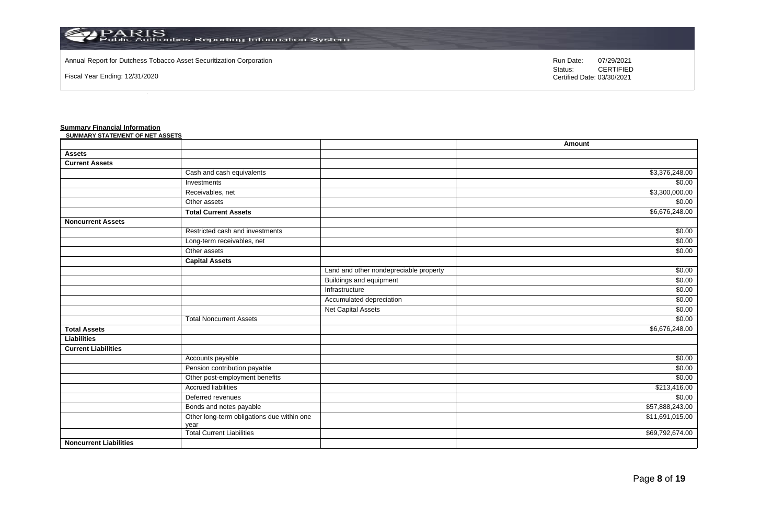

Annual Report for Dutchess Tobacco Asset Securitization Corporation **Run Date:** 07/29/2021

Fiscal Year Ending: 12/31/2020

Status: **CERTIFIED** Certified Date: 03/30/2021

#### **Summary Financial Information**

| SUMMARY STATEMENT OF NET ASSETS |                                                    |                                        |                 |
|---------------------------------|----------------------------------------------------|----------------------------------------|-----------------|
|                                 |                                                    |                                        | Amount          |
| <b>Assets</b>                   |                                                    |                                        |                 |
| <b>Current Assets</b>           |                                                    |                                        |                 |
|                                 | Cash and cash equivalents                          |                                        | \$3,376,248.00  |
|                                 | Investments                                        |                                        | $\sqrt{$0.00}$  |
|                                 | Receivables, net                                   |                                        | \$3,300,000.00  |
|                                 | Other assets                                       |                                        | \$0.00          |
|                                 | <b>Total Current Assets</b>                        |                                        | \$6,676,248.00  |
| <b>Noncurrent Assets</b>        |                                                    |                                        |                 |
|                                 | Restricted cash and investments                    |                                        | \$0.00          |
|                                 | Long-term receivables, net                         |                                        | \$0.00          |
|                                 | Other assets                                       |                                        | \$0.00          |
|                                 | <b>Capital Assets</b>                              |                                        |                 |
|                                 |                                                    | Land and other nondepreciable property | \$0.00          |
|                                 |                                                    | <b>Buildings and equipment</b>         | \$0.00          |
|                                 |                                                    | Infrastructure                         | \$0.00          |
|                                 |                                                    | Accumulated depreciation               | \$0.00          |
|                                 |                                                    | <b>Net Capital Assets</b>              | \$0.00          |
|                                 | <b>Total Noncurrent Assets</b>                     |                                        | \$0.00          |
| <b>Total Assets</b>             |                                                    |                                        | \$6,676,248.00  |
| <b>Liabilities</b>              |                                                    |                                        |                 |
| <b>Current Liabilities</b>      |                                                    |                                        |                 |
|                                 | Accounts payable                                   |                                        | \$0.00          |
|                                 | Pension contribution payable                       |                                        | \$0.00          |
|                                 | Other post-employment benefits                     |                                        | \$0.00          |
|                                 | <b>Accrued liabilities</b>                         |                                        | \$213,416.00    |
|                                 | Deferred revenues                                  |                                        | \$0.00          |
|                                 | Bonds and notes payable                            |                                        | \$57,888,243.00 |
|                                 | Other long-term obligations due within one<br>year |                                        | \$11,691,015.00 |
|                                 | <b>Total Current Liabilities</b>                   |                                        | \$69,792,674.00 |
| <b>Noncurrent Liabilities</b>   |                                                    |                                        |                 |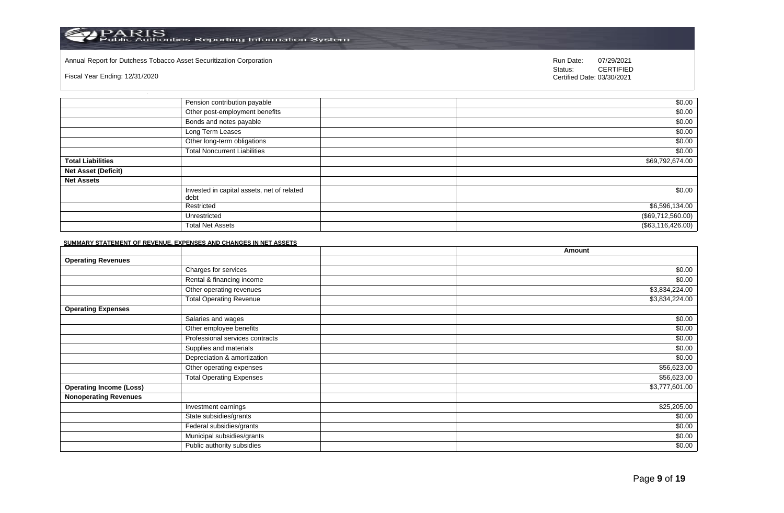#### Annual Report for Dutchess Tobacco Asset Securitization Corporation **Run Date:** 07/29/2021

Fiscal Year Ending: 12/31/2020

Status: **CERTIFIED** Certified Date: 03/30/2021

|                            | Pension contribution payable                       | \$0.00              |
|----------------------------|----------------------------------------------------|---------------------|
|                            | Other post-employment benefits                     | \$0.00              |
|                            | Bonds and notes payable                            | \$0.00              |
|                            | Long Term Leases                                   | \$0.00              |
|                            | Other long-term obligations                        | \$0.00              |
|                            | <b>Total Noncurrent Liabilities</b>                | \$0.00              |
| <b>Total Liabilities</b>   |                                                    | \$69,792,674.00     |
| <b>Net Asset (Deficit)</b> |                                                    |                     |
| <b>Net Assets</b>          |                                                    |                     |
|                            | Invested in capital assets, net of related<br>debt | \$0.00              |
|                            | Restricted                                         | \$6,596,134.00      |
|                            | Unrestricted                                       | $(\$69,712,560.00)$ |
|                            | <b>Total Net Assets</b>                            | (\$63,116,426.00)   |

#### **SUMMARY STATEMENT OF REVENUE, EXPENSES AND CHANGES IN NET ASSETS**

|                                |                                 | Amount         |
|--------------------------------|---------------------------------|----------------|
| <b>Operating Revenues</b>      |                                 |                |
|                                | Charges for services            | \$0.00         |
|                                | Rental & financing income       | \$0.00         |
|                                | Other operating revenues        | \$3,834,224.00 |
|                                | <b>Total Operating Revenue</b>  | \$3,834,224.00 |
| <b>Operating Expenses</b>      |                                 |                |
|                                | Salaries and wages              | \$0.00         |
|                                | Other employee benefits         | \$0.00         |
|                                | Professional services contracts | \$0.00         |
|                                | Supplies and materials          | \$0.00         |
|                                | Depreciation & amortization     | \$0.00         |
|                                | Other operating expenses        | \$56,623.00    |
|                                | <b>Total Operating Expenses</b> | \$56,623.00    |
| <b>Operating Income (Loss)</b> |                                 | \$3,777,601.00 |
| <b>Nonoperating Revenues</b>   |                                 |                |
|                                | Investment earnings             | \$25,205.00    |
|                                | State subsidies/grants          | \$0.00         |
|                                | Federal subsidies/grants        | \$0.00         |
|                                | Municipal subsidies/grants      | \$0.00         |
|                                | Public authority subsidies      | \$0.00         |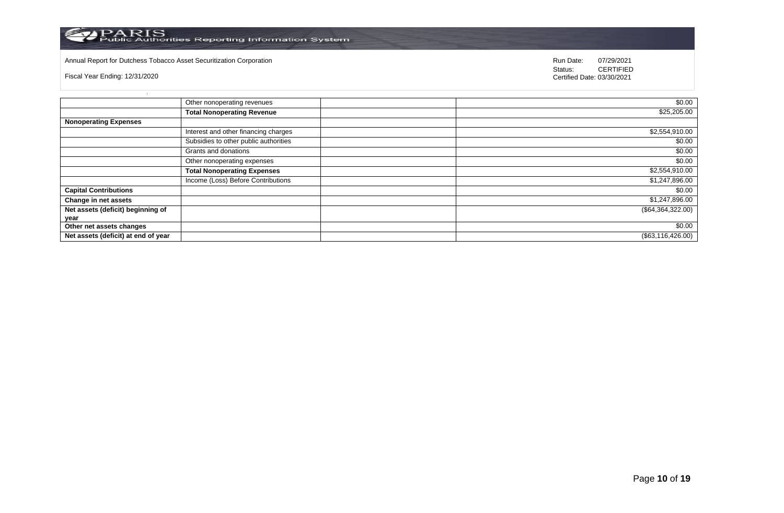

# Annual Report for Dutchess Tobacco Asset Securitization Corporation **Component Component Component Component Component Component Component Component Component Component Component Component Component Component Component Com**

Fiscal Year Ending: 12/31/2020

Status: **CERTIFIED** Certified Date: 03/30/2021

|                                     | Other nonoperating revenues           | \$0.00              |
|-------------------------------------|---------------------------------------|---------------------|
|                                     | <b>Total Nonoperating Revenue</b>     | \$25,205.00         |
| <b>Nonoperating Expenses</b>        |                                       |                     |
|                                     | Interest and other financing charges  | \$2,554,910.00      |
|                                     | Subsidies to other public authorities | \$0.00              |
|                                     | Grants and donations                  | \$0.00              |
|                                     | Other nonoperating expenses           | \$0.00              |
|                                     | <b>Total Nonoperating Expenses</b>    | \$2,554,910.00      |
|                                     | Income (Loss) Before Contributions    | \$1,247,896.00      |
| <b>Capital Contributions</b>        |                                       | \$0.00              |
| Change in net assets                |                                       | \$1,247,896.00      |
| Net assets (deficit) beginning of   |                                       | $(\$64,364,322.00)$ |
| year                                |                                       |                     |
| Other net assets changes            |                                       | \$0.00              |
| Net assets (deficit) at end of year |                                       | $(\$63,116,426.00)$ |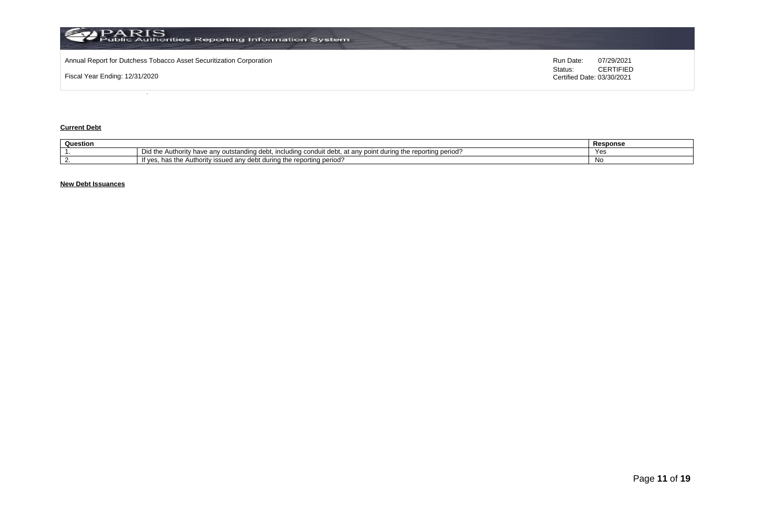

### **Current Debt**

| Question |                                                                                                                                                | Response |
|----------|------------------------------------------------------------------------------------------------------------------------------------------------|----------|
|          | Did the<br>Authority<br>i the reporting period'<br>v have anv outstanding debt. i<br>i durina tr<br>including condui<br>at any point<br>. uebr | Yes      |
|          | : reportina period'<br>during the<br>∵issued anv debt.<br>Autr<br>ority<br>"T Ves.<br>наэ ше                                                   | Νo       |

## **New Debt Issuances**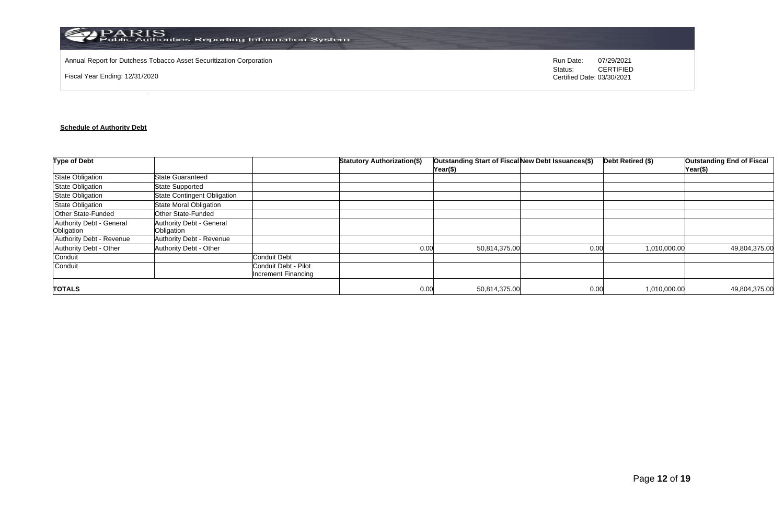

Annual Report for Dutchess Tobacco Asset Securitization Corporation **Components** Components Components Components Components Components Components Components Components Components Components Components Components Component

Fiscal Year Ending: 12/31/2020

Status: **CERTIFIED** Certified Date: 03/30/2021

## **Schedule of Authority Debt**

| <b>Type of Debt</b>                           |                                        |                                                    | <b>Statutory Authorization(\$)</b> | Outstanding Start of Fiscal New Debt Issuances(\$)<br>Year(\$) |      | Debt Retired (\$) | <b>Outstanding End of Fiscal</b><br>Year(\$) |
|-----------------------------------------------|----------------------------------------|----------------------------------------------------|------------------------------------|----------------------------------------------------------------|------|-------------------|----------------------------------------------|
| <b>State Obligation</b>                       | <b>State Guaranteed</b>                |                                                    |                                    |                                                                |      |                   |                                              |
| State Obligation                              | <b>State Supported</b>                 |                                                    |                                    |                                                                |      |                   |                                              |
| <b>State Obligation</b>                       | <b>State Contingent Obligation</b>     |                                                    |                                    |                                                                |      |                   |                                              |
| State Obligation                              | <b>State Moral Obligation</b>          |                                                    |                                    |                                                                |      |                   |                                              |
| Other State-Funded                            | Other State-Funded                     |                                                    |                                    |                                                                |      |                   |                                              |
| <b>Authority Debt - General</b><br>Obligation | Authority Debt - General<br>Obligation |                                                    |                                    |                                                                |      |                   |                                              |
| Authority Debt - Revenue                      | Authority Debt - Revenue               |                                                    |                                    |                                                                |      |                   |                                              |
| Authority Debt - Other                        | Authority Debt - Other                 |                                                    | 0.00                               | 50,814,375.00                                                  | 0.00 | 1,010,000.00      | 49,804,375.00                                |
| Conduit                                       |                                        | <b>Conduit Debt</b>                                |                                    |                                                                |      |                   |                                              |
| Conduit                                       |                                        | Conduit Debt - Pilot<br><b>Increment Financing</b> |                                    |                                                                |      |                   |                                              |
| <b>TOTALS</b>                                 |                                        |                                                    | 0.00                               | 50,814,375.00                                                  | 0.00 | 1,010,000.00      | 49,804,375.00                                |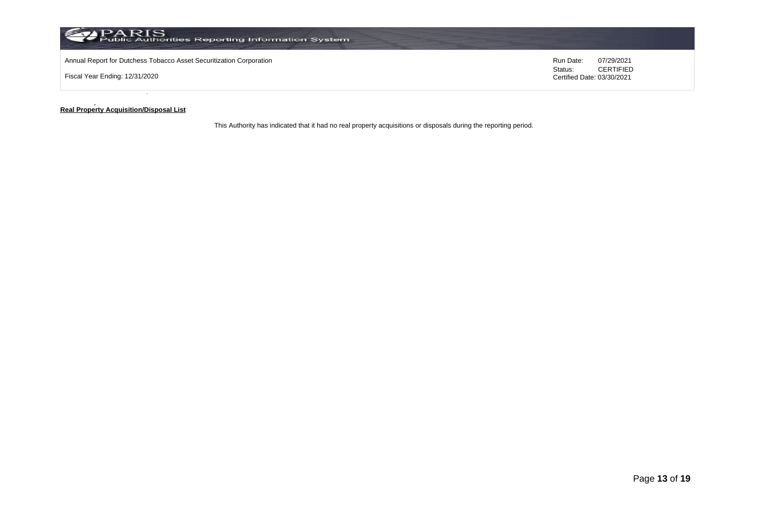

#### **Real Property Acquisition/Disposal List**

This Authority has indicated that it had no real property acquisitions or disposals during the reporting period.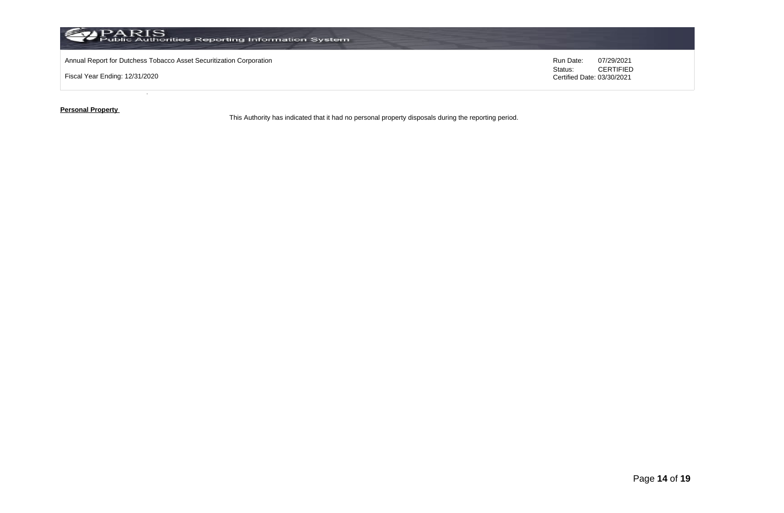

**Personal Property** 

This Authority has indicated that it had no personal property disposals during the reporting period.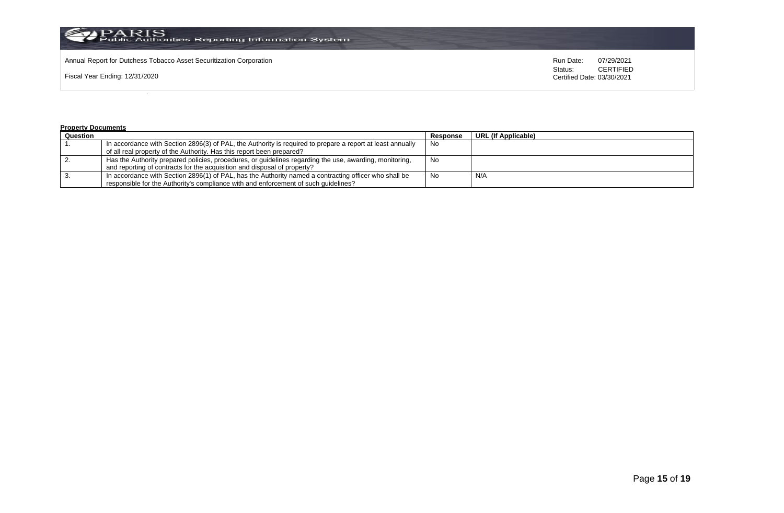

Annual Report for Dutchess Tobacco Asset Securitization Corporation **Components** Components Components Components Components Components Components Components Components Components Components Components Components Component

Fiscal Year Ending: 12/31/2020

Status: **CERTIFIED** Certified Date: 03/30/2021

#### **Property Documents**

| Question |                                                                                                            | Response | <b>URL (If Applicable)</b> |
|----------|------------------------------------------------------------------------------------------------------------|----------|----------------------------|
|          | In accordance with Section 2896(3) of PAL, the Authority is required to prepare a report at least annually | No       |                            |
|          | of all real property of the Authority. Has this report been prepared?                                      |          |                            |
|          | Has the Authority prepared policies, procedures, or guidelines regarding the use, awarding, monitoring,    | No       |                            |
|          | and reporting of contracts for the acquisition and disposal of property?                                   |          |                            |
|          | In accordance with Section 2896(1) of PAL, has the Authority named a contracting officer who shall be      | No       | N/A                        |
|          | responsible for the Authority's compliance with and enforcement of such quidelines?                        |          |                            |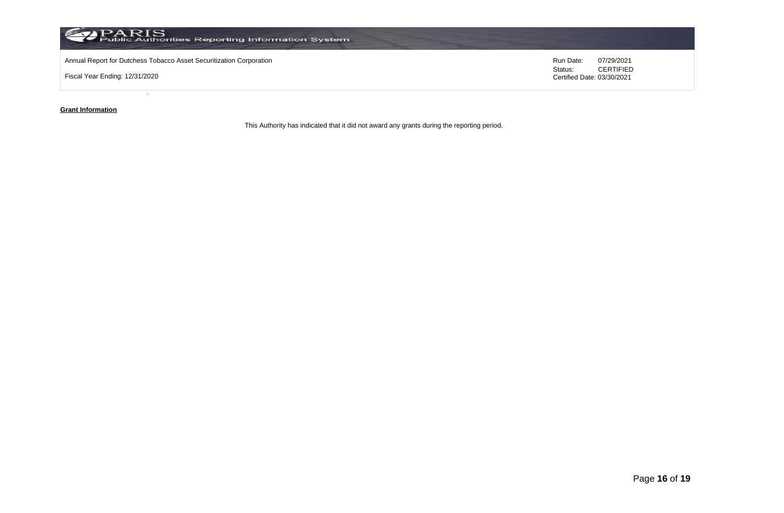

### **Grant Information**

This Authority has indicated that it did not award any grants during the reporting period.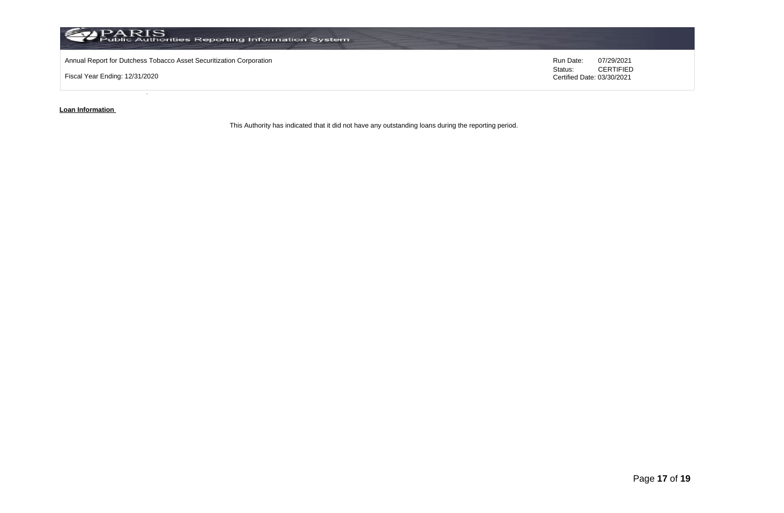

**Loan Information** 

This Authority has indicated that it did not have any outstanding loans during the reporting period.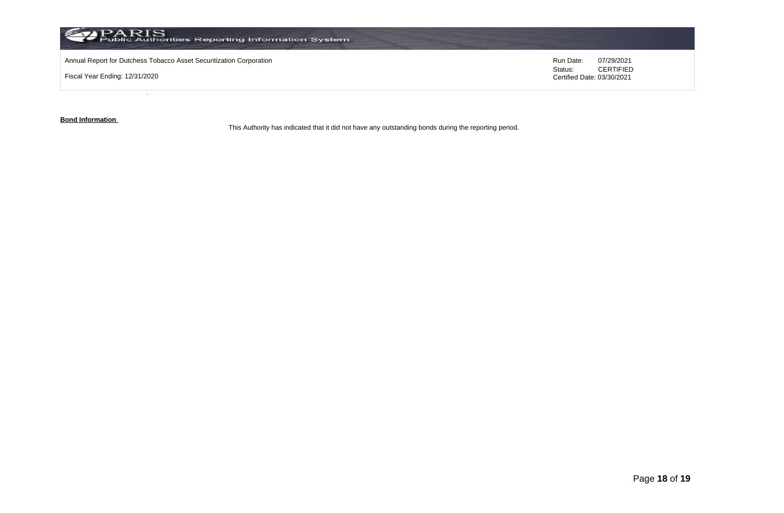

**Bond Information** 

This Authority has indicated that it did not have any outstanding bonds during the reporting period.